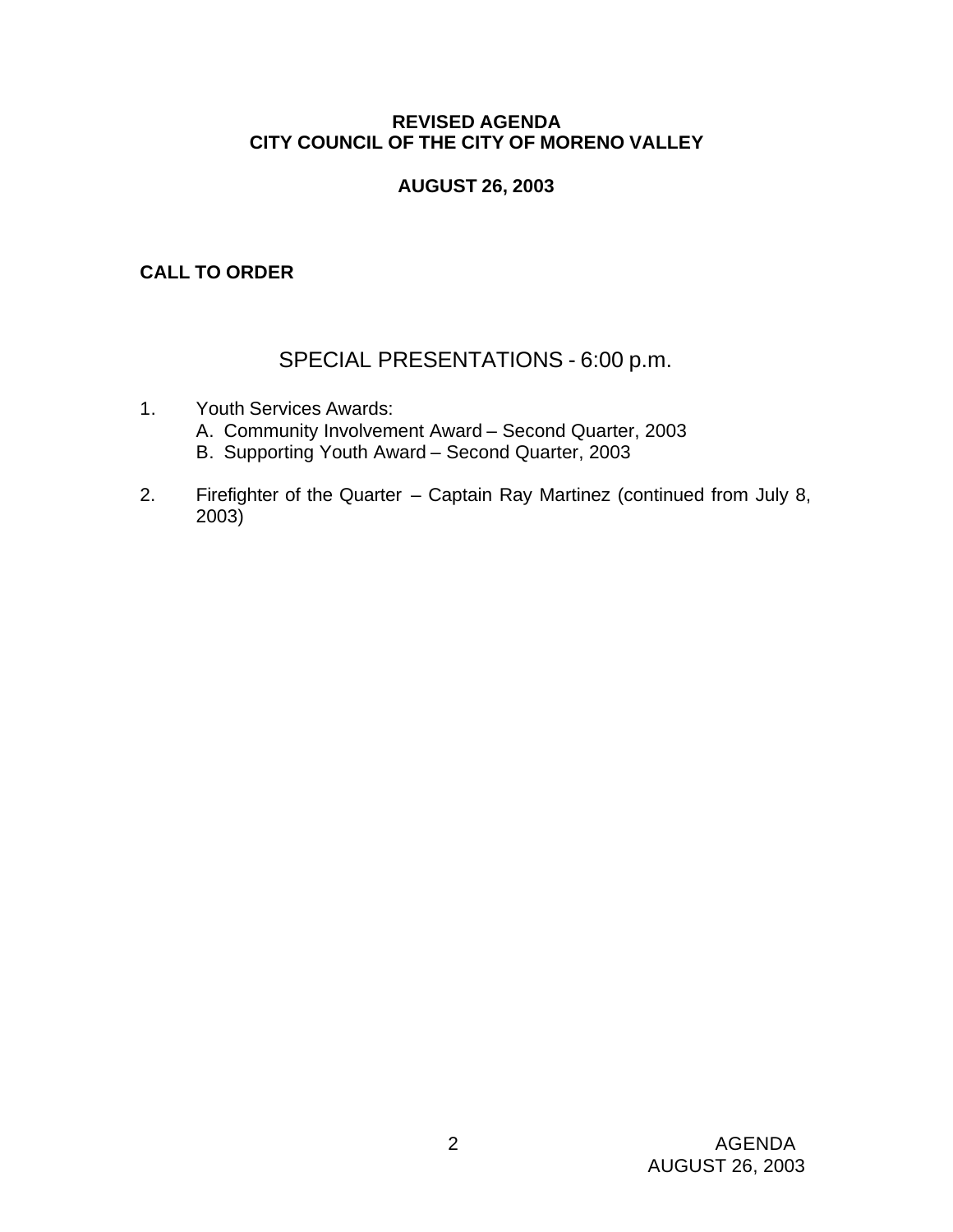### **REVISED AGENDA CITY COUNCIL OF THE CITY OF MORENO VALLEY**

## **AUGUST 26, 2003**

## **CALL TO ORDER**

# SPECIAL PRESENTATIONS - 6:00 p.m.

- 1. Youth Services Awards: A. Community Involvement Award – Second Quarter, 2003 B. Supporting Youth Award – Second Quarter, 2003
- 2. Firefighter of the Quarter Captain Ray Martinez (continued from July 8, 2003)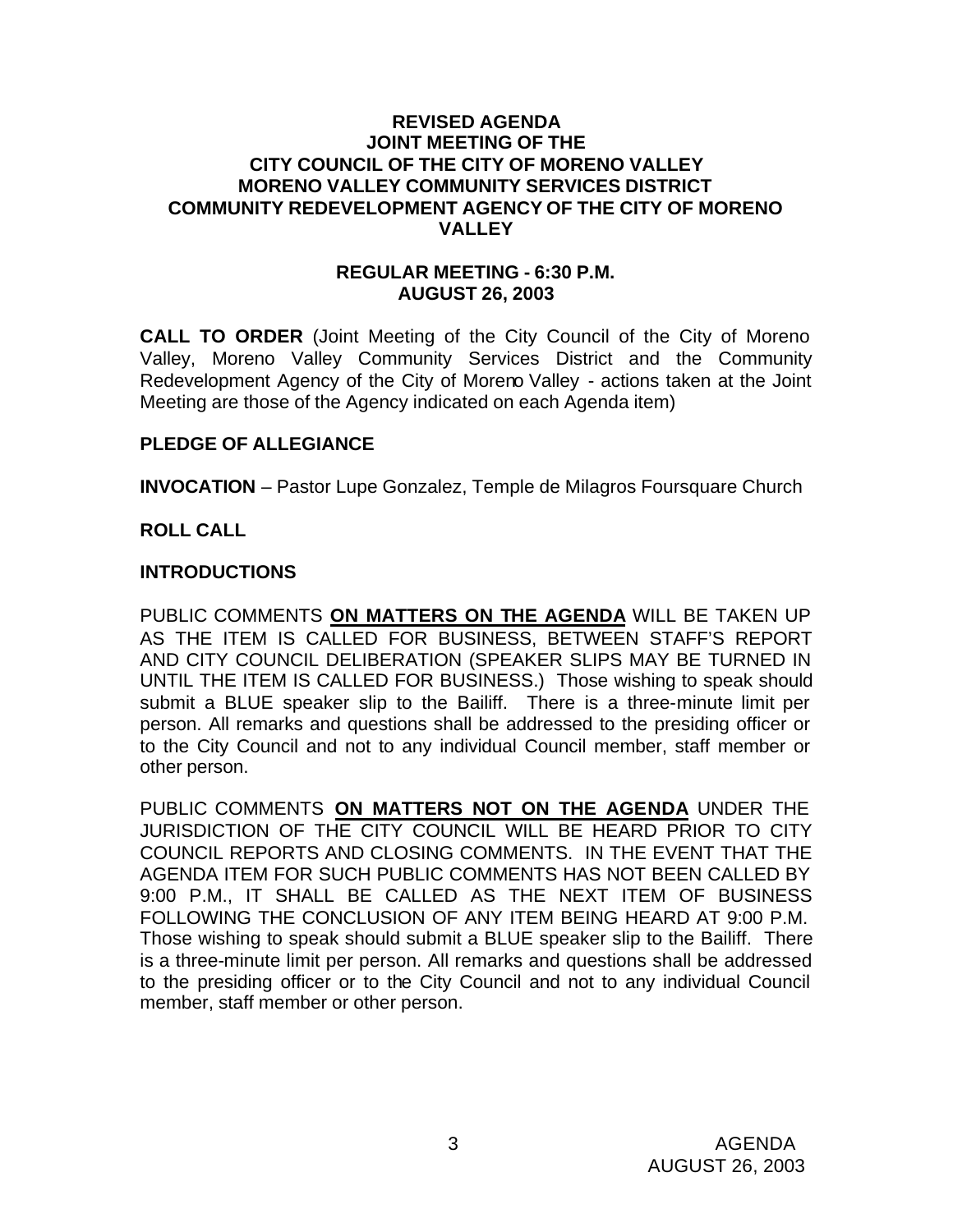### **REVISED AGENDA JOINT MEETING OF THE CITY COUNCIL OF THE CITY OF MORENO VALLEY MORENO VALLEY COMMUNITY SERVICES DISTRICT COMMUNITY REDEVELOPMENT AGENCY OF THE CITY OF MORENO VALLEY**

### **REGULAR MEETING - 6:30 P.M. AUGUST 26, 2003**

**CALL TO ORDER** (Joint Meeting of the City Council of the City of Moreno Valley, Moreno Valley Community Services District and the Community Redevelopment Agency of the City of Moreno Valley - actions taken at the Joint Meeting are those of the Agency indicated on each Agenda item)

### **PLEDGE OF ALLEGIANCE**

**INVOCATION** – Pastor Lupe Gonzalez, Temple de Milagros Foursquare Church

## **ROLL CALL**

## **INTRODUCTIONS**

PUBLIC COMMENTS **ON MATTERS ON THE AGENDA** WILL BE TAKEN UP AS THE ITEM IS CALLED FOR BUSINESS, BETWEEN STAFF'S REPORT AND CITY COUNCIL DELIBERATION (SPEAKER SLIPS MAY BE TURNED IN UNTIL THE ITEM IS CALLED FOR BUSINESS.) Those wishing to speak should submit a BLUE speaker slip to the Bailiff. There is a three-minute limit per person. All remarks and questions shall be addressed to the presiding officer or to the City Council and not to any individual Council member, staff member or other person.

PUBLIC COMMENTS **ON MATTERS NOT ON THE AGENDA** UNDER THE JURISDICTION OF THE CITY COUNCIL WILL BE HEARD PRIOR TO CITY COUNCIL REPORTS AND CLOSING COMMENTS. IN THE EVENT THAT THE AGENDA ITEM FOR SUCH PUBLIC COMMENTS HAS NOT BEEN CALLED BY 9:00 P.M., IT SHALL BE CALLED AS THE NEXT ITEM OF BUSINESS FOLLOWING THE CONCLUSION OF ANY ITEM BEING HEARD AT 9:00 P.M. Those wishing to speak should submit a BLUE speaker slip to the Bailiff. There is a three-minute limit per person. All remarks and questions shall be addressed to the presiding officer or to the City Council and not to any individual Council member, staff member or other person.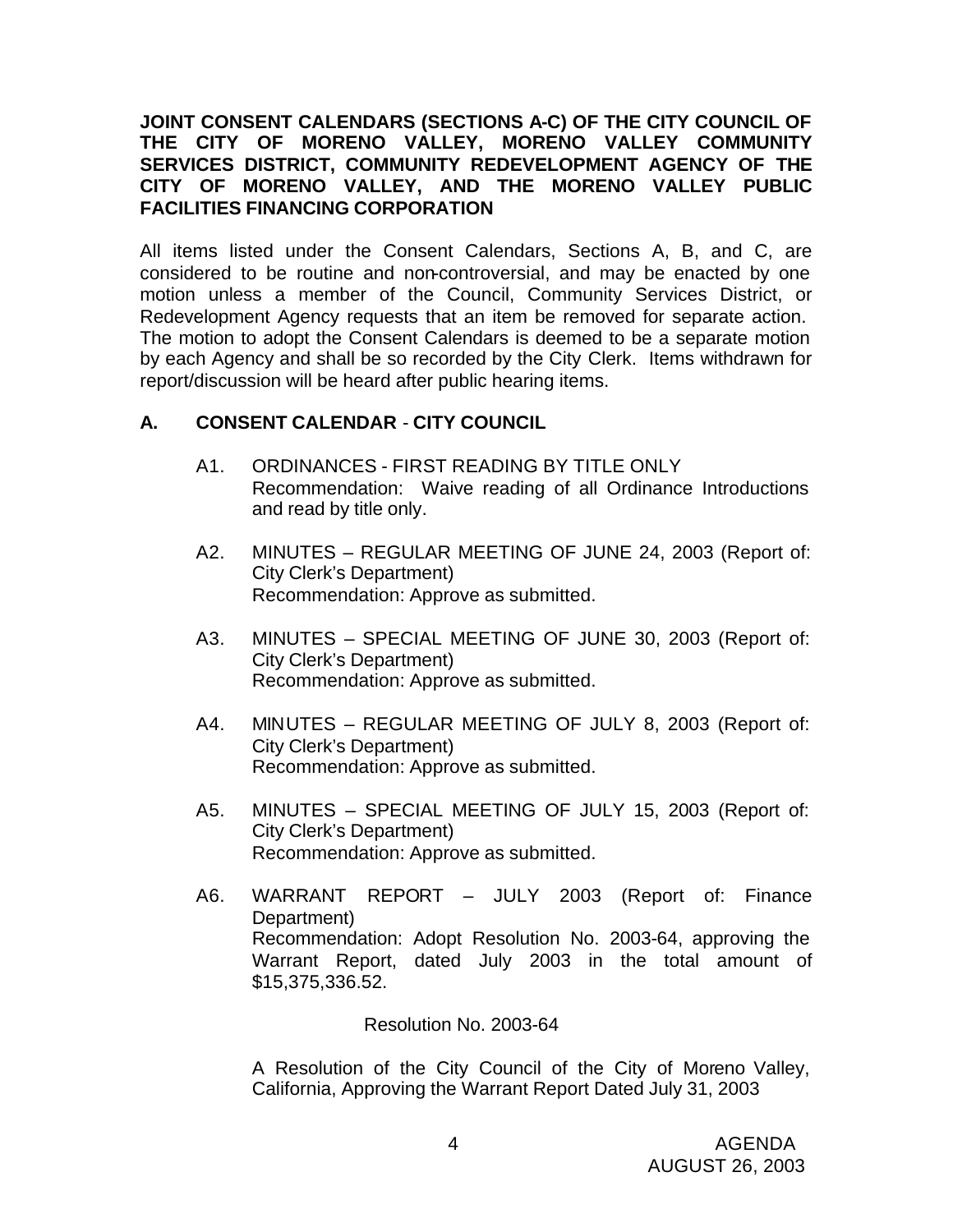## **JOINT CONSENT CALENDARS (SECTIONS A-C) OF THE CITY COUNCIL OF THE CITY OF MORENO VALLEY, MORENO VALLEY COMMUNITY SERVICES DISTRICT, COMMUNITY REDEVELOPMENT AGENCY OF THE CITY OF MORENO VALLEY, AND THE MORENO VALLEY PUBLIC FACILITIES FINANCING CORPORATION**

All items listed under the Consent Calendars, Sections A, B, and C, are considered to be routine and non-controversial, and may be enacted by one motion unless a member of the Council, Community Services District, or Redevelopment Agency requests that an item be removed for separate action. The motion to adopt the Consent Calendars is deemed to be a separate motion by each Agency and shall be so recorded by the City Clerk. Items withdrawn for report/discussion will be heard after public hearing items.

## **A. CONSENT CALENDAR** - **CITY COUNCIL**

- A1. ORDINANCES FIRST READING BY TITLE ONLY Recommendation: Waive reading of all Ordinance Introductions and read by title only.
- A2. MINUTES REGULAR MEETING OF JUNE 24, 2003 (Report of: City Clerk's Department) Recommendation: Approve as submitted.
- A3. MINUTES SPECIAL MEETING OF JUNE 30, 2003 (Report of: City Clerk's Department) Recommendation: Approve as submitted.
- A4. MINUTES REGULAR MEETING OF JULY 8, 2003 (Report of: City Clerk's Department) Recommendation: Approve as submitted.
- A5. MINUTES SPECIAL MEETING OF JULY 15, 2003 (Report of: City Clerk's Department) Recommendation: Approve as submitted.
- A6. WARRANT REPORT JULY 2003 (Report of: Finance Department) Recommendation: Adopt Resolution No. 2003-64, approving the Warrant Report, dated July 2003 in the total amount of \$15,375,336.52.

Resolution No. 2003-64

A Resolution of the City Council of the City of Moreno Valley, California, Approving the Warrant Report Dated July 31, 2003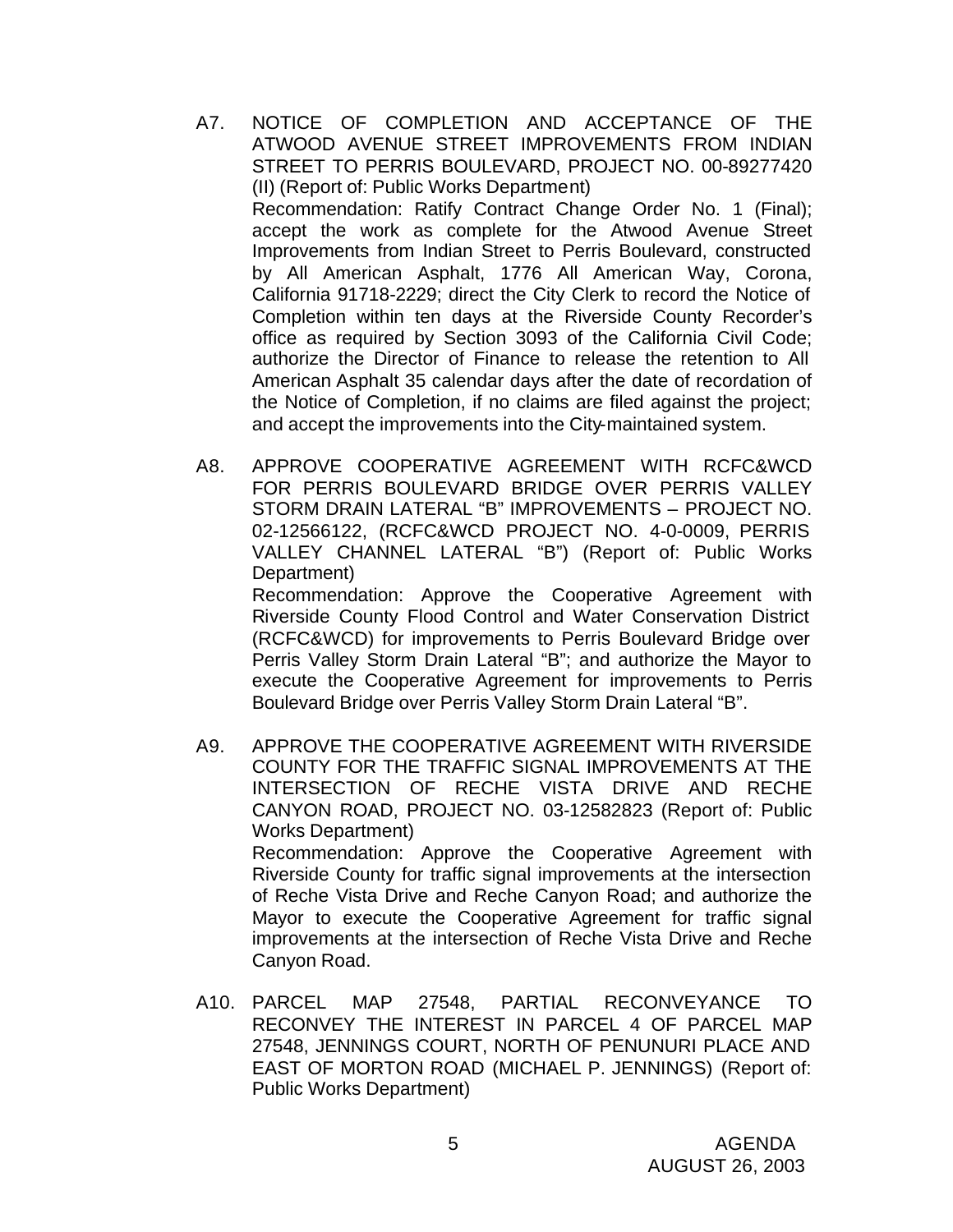- A7. NOTICE OF COMPLETION AND ACCEPTANCE OF THE ATWOOD AVENUE STREET IMPROVEMENTS FROM INDIAN STREET TO PERRIS BOULEVARD, PROJECT NO. 00-89277420 (II) (Report of: Public Works Department) Recommendation: Ratify Contract Change Order No. 1 (Final); accept the work as complete for the Atwood Avenue Street Improvements from Indian Street to Perris Boulevard, constructed by All American Asphalt, 1776 All American Way, Corona, California 91718-2229; direct the City Clerk to record the Notice of Completion within ten days at the Riverside County Recorder's office as required by Section 3093 of the California Civil Code; authorize the Director of Finance to release the retention to All American Asphalt 35 calendar days after the date of recordation of the Notice of Completion, if no claims are filed against the project; and accept the improvements into the City-maintained system.
- A8. APPROVE COOPERATIVE AGREEMENT WITH RCFC&WCD FOR PERRIS BOULEVARD BRIDGE OVER PERRIS VALLEY STORM DRAIN LATERAL "B" IMPROVEMENTS – PROJECT NO. 02-12566122, (RCFC&WCD PROJECT NO. 4-0-0009, PERRIS VALLEY CHANNEL LATERAL "B") (Report of: Public Works Department)

Recommendation: Approve the Cooperative Agreement with Riverside County Flood Control and Water Conservation District (RCFC&WCD) for improvements to Perris Boulevard Bridge over Perris Valley Storm Drain Lateral "B"; and authorize the Mayor to execute the Cooperative Agreement for improvements to Perris Boulevard Bridge over Perris Valley Storm Drain Lateral "B".

- A9. APPROVE THE COOPERATIVE AGREEMENT WITH RIVERSIDE COUNTY FOR THE TRAFFIC SIGNAL IMPROVEMENTS AT THE INTERSECTION OF RECHE VISTA DRIVE AND RECHE CANYON ROAD, PROJECT NO. 03-12582823 (Report of: Public Works Department) Recommendation: Approve the Cooperative Agreement with Riverside County for traffic signal improvements at the intersection of Reche Vista Drive and Reche Canyon Road; and authorize the Mayor to execute the Cooperative Agreement for traffic signal improvements at the intersection of Reche Vista Drive and Reche Canyon Road.
- A10. PARCEL MAP 27548, PARTIAL RECONVEYANCE TO RECONVEY THE INTEREST IN PARCEL 4 OF PARCEL MAP 27548, JENNINGS COURT, NORTH OF PENUNURI PLACE AND EAST OF MORTON ROAD (MICHAEL P. JENNINGS) (Report of: Public Works Department)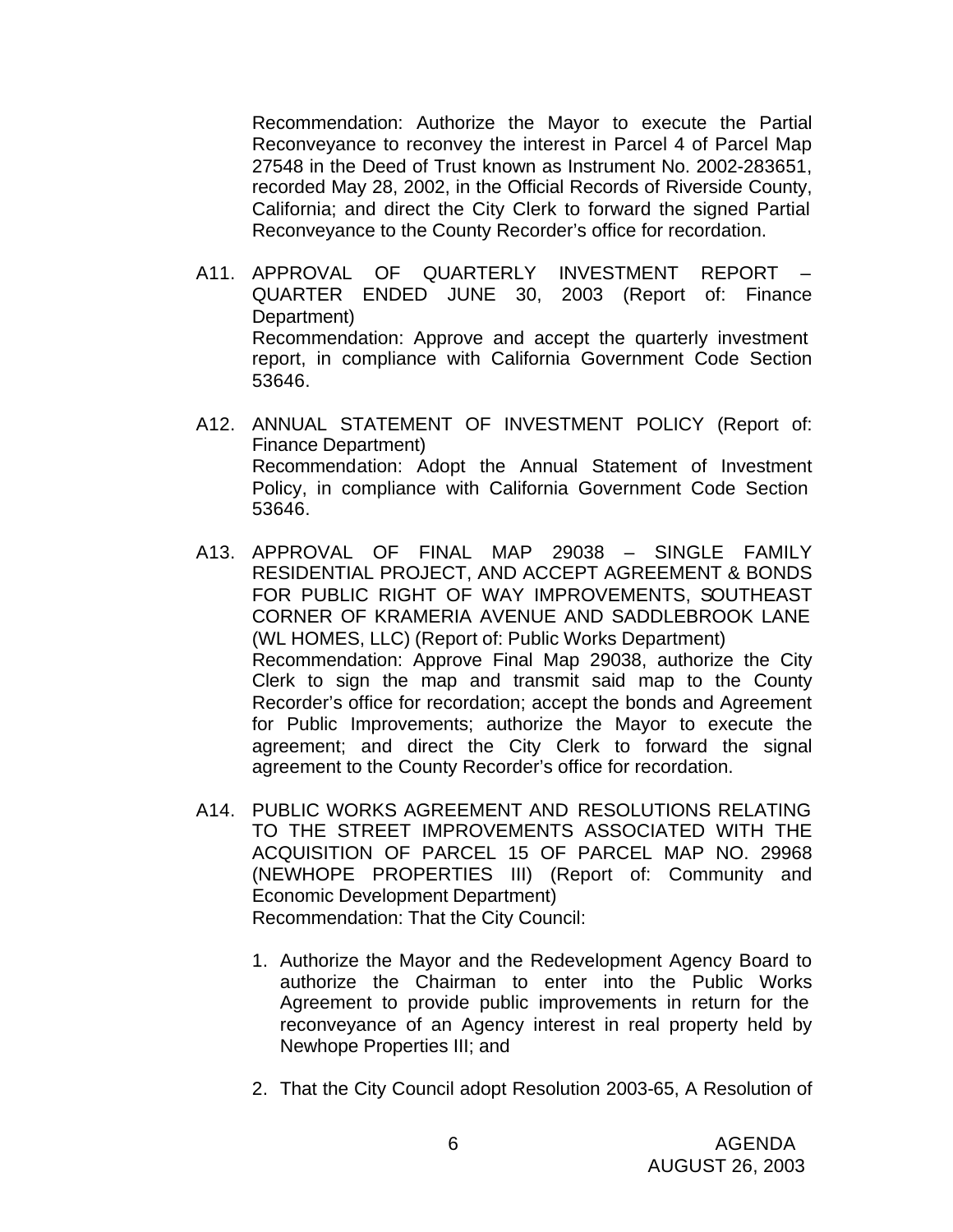Recommendation: Authorize the Mayor to execute the Partial Reconveyance to reconvey the interest in Parcel 4 of Parcel Map 27548 in the Deed of Trust known as Instrument No. 2002-283651, recorded May 28, 2002, in the Official Records of Riverside County, California; and direct the City Clerk to forward the signed Partial Reconveyance to the County Recorder's office for recordation.

- A11. APPROVAL OF QUARTERLY INVESTMENT REPORT QUARTER ENDED JUNE 30, 2003 (Report of: Finance Department) Recommendation: Approve and accept the quarterly investment report, in compliance with California Government Code Section 53646.
- A12. ANNUAL STATEMENT OF INVESTMENT POLICY (Report of: Finance Department) Recommendation: Adopt the Annual Statement of Investment Policy, in compliance with California Government Code Section 53646.
- A13. APPROVAL OF FINAL MAP 29038 SINGLE FAMILY RESIDENTIAL PROJECT, AND ACCEPT AGREEMENT & BONDS FOR PUBLIC RIGHT OF WAY IMPROVEMENTS, SOUTHEAST CORNER OF KRAMERIA AVENUE AND SADDLEBROOK LANE (WL HOMES, LLC) (Report of: Public Works Department) Recommendation: Approve Final Map 29038, authorize the City Clerk to sign the map and transmit said map to the County Recorder's office for recordation; accept the bonds and Agreement for Public Improvements; authorize the Mayor to execute the agreement; and direct the City Clerk to forward the signal agreement to the County Recorder's office for recordation.
- A14. PUBLIC WORKS AGREEMENT AND RESOLUTIONS RELATING TO THE STREET IMPROVEMENTS ASSOCIATED WITH THE ACQUISITION OF PARCEL 15 OF PARCEL MAP NO. 29968 (NEWHOPE PROPERTIES III) (Report of: Community and Economic Development Department) Recommendation: That the City Council:
	- 1. Authorize the Mayor and the Redevelopment Agency Board to authorize the Chairman to enter into the Public Works Agreement to provide public improvements in return for the reconveyance of an Agency interest in real property held by Newhope Properties III; and
	- 2. That the City Council adopt Resolution 2003-65, A Resolution of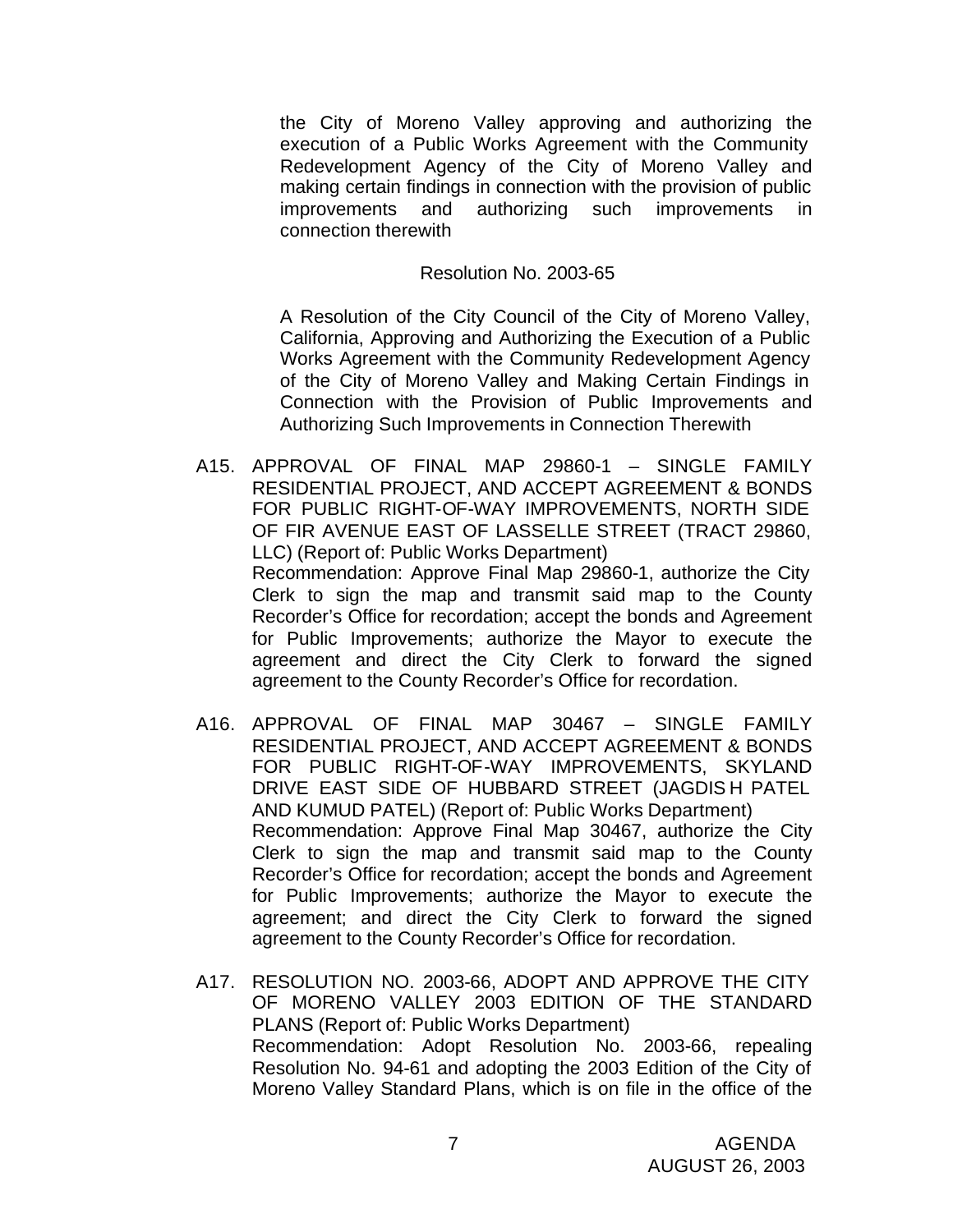the City of Moreno Valley approving and authorizing the execution of a Public Works Agreement with the Community Redevelopment Agency of the City of Moreno Valley and making certain findings in connection with the provision of public improvements and authorizing such improvements in connection therewith

#### Resolution No. 2003-65

A Resolution of the City Council of the City of Moreno Valley, California, Approving and Authorizing the Execution of a Public Works Agreement with the Community Redevelopment Agency of the City of Moreno Valley and Making Certain Findings in Connection with the Provision of Public Improvements and Authorizing Such Improvements in Connection Therewith

- A15. APPROVAL OF FINAL MAP 29860-1 SINGLE FAMILY RESIDENTIAL PROJECT, AND ACCEPT AGREEMENT & BONDS FOR PUBLIC RIGHT-OF-WAY IMPROVEMENTS, NORTH SIDE OF FIR AVENUE EAST OF LASSELLE STREET (TRACT 29860, LLC) (Report of: Public Works Department) Recommendation: Approve Final Map 29860-1, authorize the City Clerk to sign the map and transmit said map to the County Recorder's Office for recordation; accept the bonds and Agreement for Public Improvements; authorize the Mayor to execute the agreement and direct the City Clerk to forward the signed agreement to the County Recorder's Office for recordation.
- A16. APPROVAL OF FINAL MAP 30467 SINGLE FAMILY RESIDENTIAL PROJECT, AND ACCEPT AGREEMENT & BONDS FOR PUBLIC RIGHT-OF-WAY IMPROVEMENTS, SKYLAND DRIVE EAST SIDE OF HUBBARD STREET (JAGDIS H PATEL AND KUMUD PATEL) (Report of: Public Works Department) Recommendation: Approve Final Map 30467, authorize the City Clerk to sign the map and transmit said map to the County Recorder's Office for recordation; accept the bonds and Agreement for Public Improvements; authorize the Mayor to execute the agreement; and direct the City Clerk to forward the signed agreement to the County Recorder's Office for recordation.
- A17. RESOLUTION NO. 2003-66, ADOPT AND APPROVE THE CITY OF MORENO VALLEY 2003 EDITION OF THE STANDARD PLANS (Report of: Public Works Department) Recommendation: Adopt Resolution No. 2003-66, repealing Resolution No. 94-61 and adopting the 2003 Edition of the City of Moreno Valley Standard Plans, which is on file in the office of the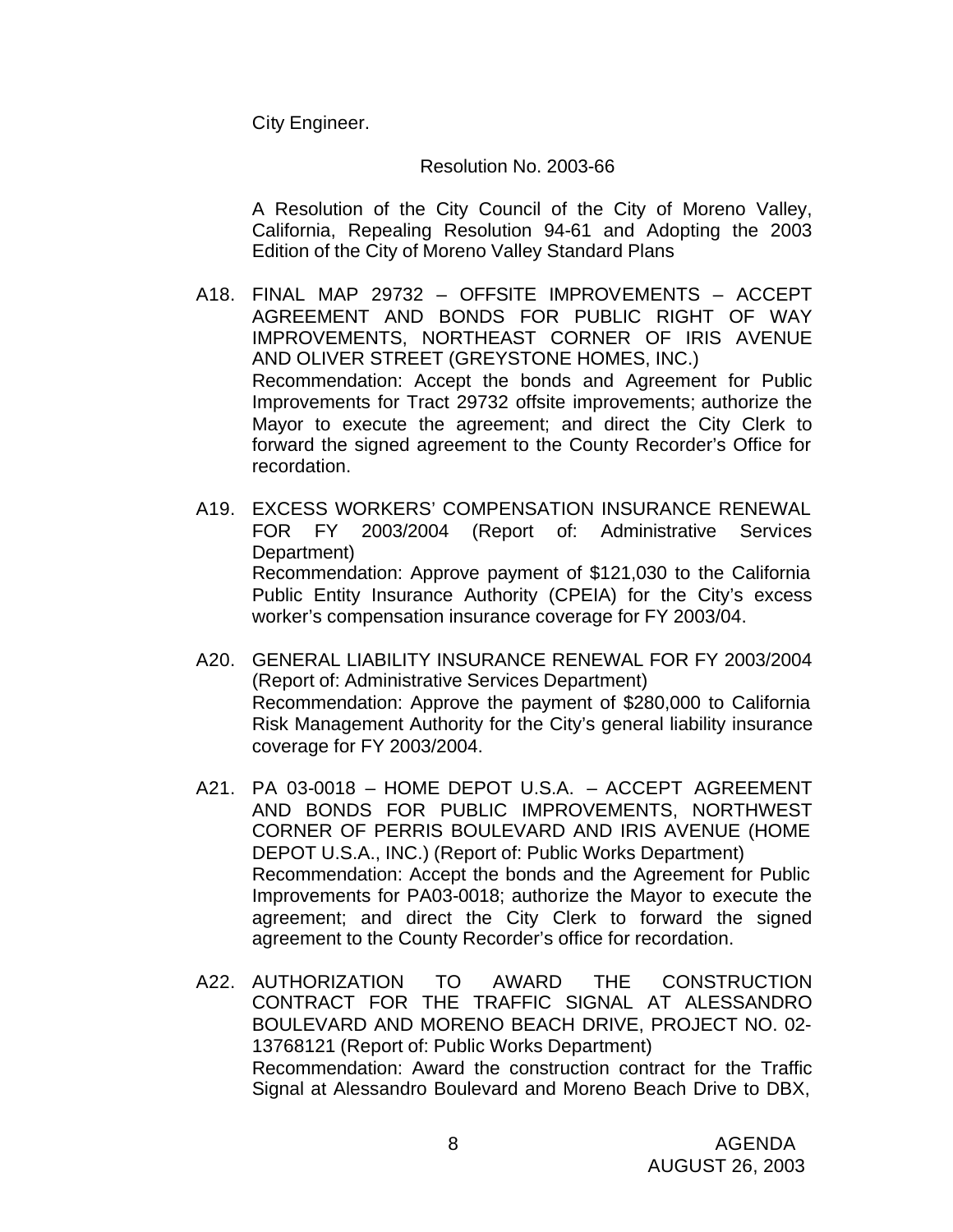City Engineer.

#### Resolution No. 2003-66

A Resolution of the City Council of the City of Moreno Valley, California, Repealing Resolution 94-61 and Adopting the 2003 Edition of the City of Moreno Valley Standard Plans

- A18. FINAL MAP 29732 OFFSITE IMPROVEMENTS ACCEPT AGREEMENT AND BONDS FOR PUBLIC RIGHT OF WAY IMPROVEMENTS, NORTHEAST CORNER OF IRIS AVENUE AND OLIVER STREET (GREYSTONE HOMES, INC.) Recommendation: Accept the bonds and Agreement for Public Improvements for Tract 29732 offsite improvements; authorize the Mayor to execute the agreement; and direct the City Clerk to forward the signed agreement to the County Recorder's Office for recordation.
- A19. EXCESS WORKERS' COMPENSATION INSURANCE RENEWAL FOR FY 2003/2004 (Report of: Administrative Services Department) Recommendation: Approve payment of \$121,030 to the California Public Entity Insurance Authority (CPEIA) for the City's excess worker's compensation insurance coverage for FY 2003/04.
- A20. GENERAL LIABILITY INSURANCE RENEWAL FOR FY 2003/2004 (Report of: Administrative Services Department) Recommendation: Approve the payment of \$280,000 to California Risk Management Authority for the City's general liability insurance coverage for FY 2003/2004.
- A21. PA 03-0018 HOME DEPOT U.S.A. ACCEPT AGREEMENT AND BONDS FOR PUBLIC IMPROVEMENTS, NORTHWEST CORNER OF PERRIS BOULEVARD AND IRIS AVENUE (HOME DEPOT U.S.A., INC.) (Report of: Public Works Department) Recommendation: Accept the bonds and the Agreement for Public Improvements for PA03-0018; authorize the Mayor to execute the agreement; and direct the City Clerk to forward the signed agreement to the County Recorder's office for recordation.
- A22. AUTHORIZATION TO AWARD THE CONSTRUCTION CONTRACT FOR THE TRAFFIC SIGNAL AT ALESSANDRO BOULEVARD AND MORENO BEACH DRIVE, PROJECT NO. 02- 13768121 (Report of: Public Works Department) Recommendation: Award the construction contract for the Traffic Signal at Alessandro Boulevard and Moreno Beach Drive to DBX,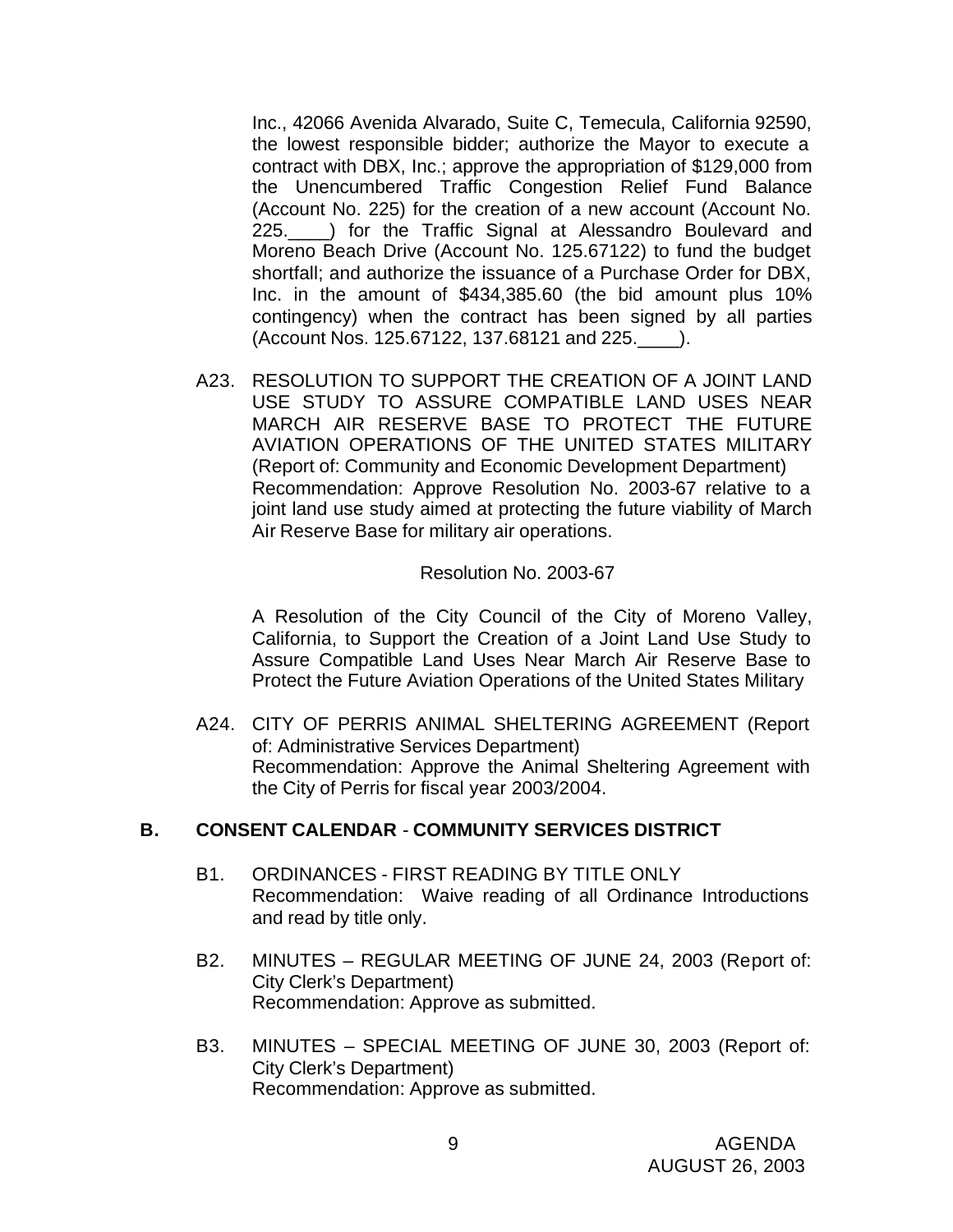Inc., 42066 Avenida Alvarado, Suite C, Temecula, California 92590, the lowest responsible bidder; authorize the Mayor to execute a contract with DBX, Inc.; approve the appropriation of \$129,000 from the Unencumbered Traffic Congestion Relief Fund Balance (Account No. 225) for the creation of a new account (Account No. 225.\_\_\_\_) for the Traffic Signal at Alessandro Boulevard and Moreno Beach Drive (Account No. 125.67122) to fund the budget shortfall; and authorize the issuance of a Purchase Order for DBX, Inc. in the amount of \$434,385.60 (the bid amount plus 10% contingency) when the contract has been signed by all parties (Account Nos. 125.67122, 137.68121 and 225.\_\_\_\_).

A23. RESOLUTION TO SUPPORT THE CREATION OF A JOINT LAND USE STUDY TO ASSURE COMPATIBLE LAND USES NEAR MARCH AIR RESERVE BASE TO PROTECT THE FUTURE AVIATION OPERATIONS OF THE UNITED STATES MILITARY (Report of: Community and Economic Development Department) Recommendation: Approve Resolution No. 2003-67 relative to a joint land use study aimed at protecting the future viability of March Air Reserve Base for military air operations.

#### Resolution No. 2003-67

A Resolution of the City Council of the City of Moreno Valley, California, to Support the Creation of a Joint Land Use Study to Assure Compatible Land Uses Near March Air Reserve Base to Protect the Future Aviation Operations of the United States Military

A24. CITY OF PERRIS ANIMAL SHELTERING AGREEMENT (Report of: Administrative Services Department) Recommendation: Approve the Animal Sheltering Agreement with the City of Perris for fiscal year 2003/2004.

#### **B. CONSENT CALENDAR** - **COMMUNITY SERVICES DISTRICT**

- B1. ORDINANCES FIRST READING BY TITLE ONLY Recommendation: Waive reading of all Ordinance Introductions and read by title only.
- B2. MINUTES REGULAR MEETING OF JUNE 24, 2003 (Report of: City Clerk's Department) Recommendation: Approve as submitted.
- B3. MINUTES SPECIAL MEETING OF JUNE 30, 2003 (Report of: City Clerk's Department) Recommendation: Approve as submitted.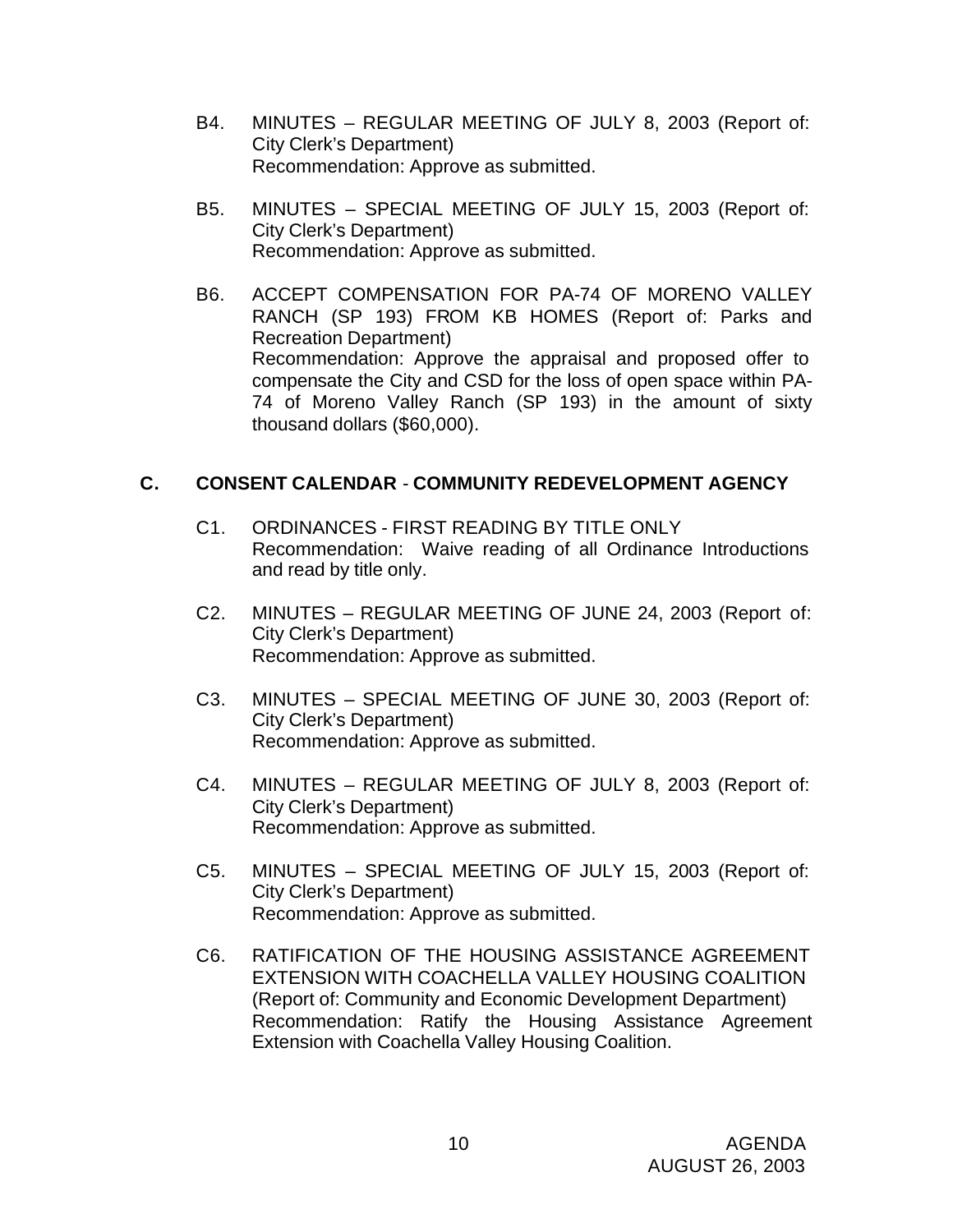- B4. MINUTES REGULAR MEETING OF JULY 8, 2003 (Report of: City Clerk's Department) Recommendation: Approve as submitted.
- B5. MINUTES SPECIAL MEETING OF JULY 15, 2003 (Report of: City Clerk's Department) Recommendation: Approve as submitted.
- B6. ACCEPT COMPENSATION FOR PA-74 OF MORENO VALLEY RANCH (SP 193) FROM KB HOMES (Report of: Parks and Recreation Department) Recommendation: Approve the appraisal and proposed offer to compensate the City and CSD for the loss of open space within PA-74 of Moreno Valley Ranch (SP 193) in the amount of sixty thousand dollars (\$60,000).

## **C. CONSENT CALENDAR** - **COMMUNITY REDEVELOPMENT AGENCY**

- C1. ORDINANCES FIRST READING BY TITLE ONLY Recommendation: Waive reading of all Ordinance Introductions and read by title only.
- C2. MINUTES REGULAR MEETING OF JUNE 24, 2003 (Report of: City Clerk's Department) Recommendation: Approve as submitted.
- C3. MINUTES SPECIAL MEETING OF JUNE 30, 2003 (Report of: City Clerk's Department) Recommendation: Approve as submitted.
- C4. MINUTES REGULAR MEETING OF JULY 8, 2003 (Report of: City Clerk's Department) Recommendation: Approve as submitted.
- C5. MINUTES SPECIAL MEETING OF JULY 15, 2003 (Report of: City Clerk's Department) Recommendation: Approve as submitted.
- C6. RATIFICATION OF THE HOUSING ASSISTANCE AGREEMENT EXTENSION WITH COACHELLA VALLEY HOUSING COALITION (Report of: Community and Economic Development Department) Recommendation: Ratify the Housing Assistance Agreement Extension with Coachella Valley Housing Coalition.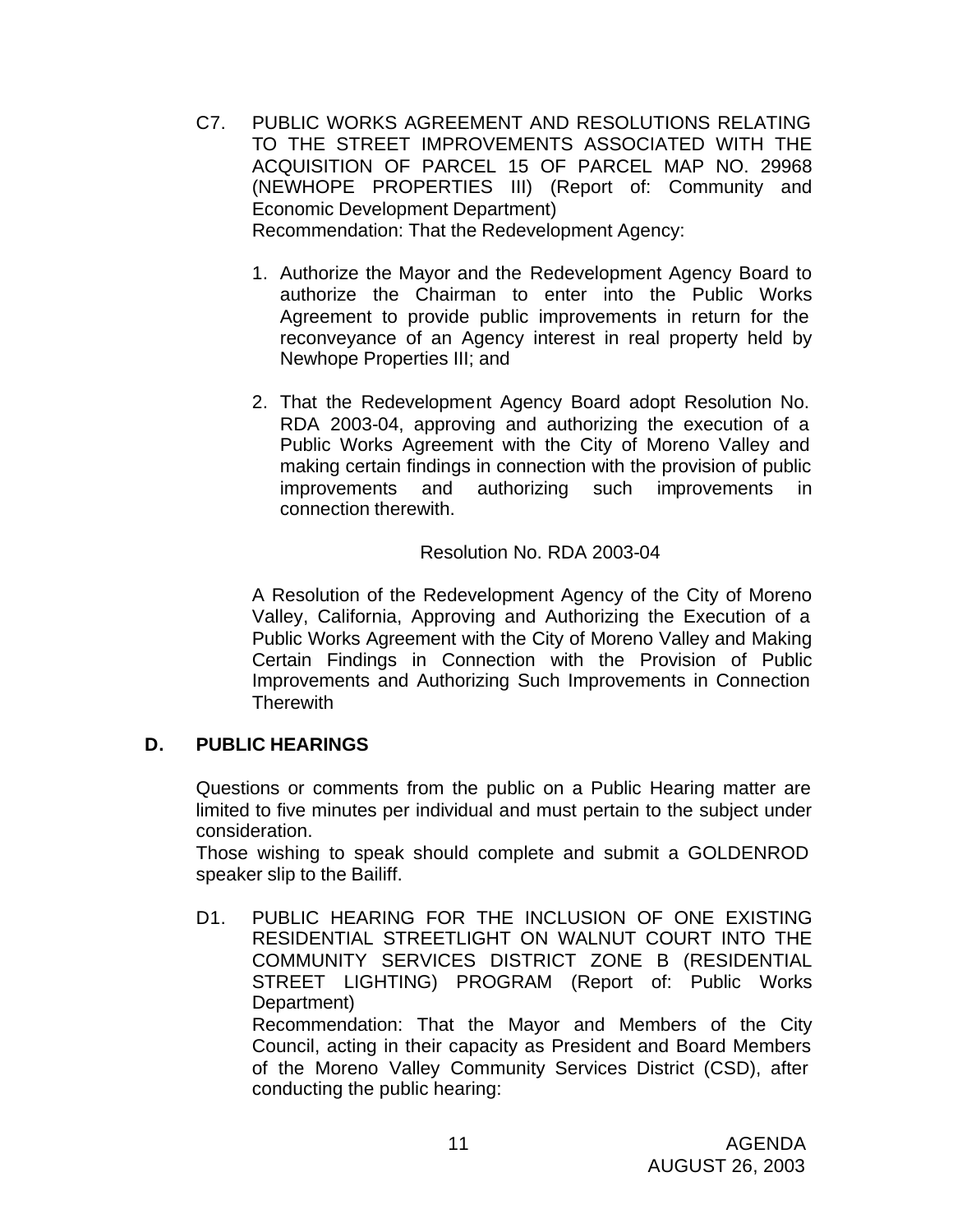- C7. PUBLIC WORKS AGREEMENT AND RESOLUTIONS RELATING TO THE STREET IMPROVEMENTS ASSOCIATED WITH THE ACQUISITION OF PARCEL 15 OF PARCEL MAP NO. 29968 (NEWHOPE PROPERTIES III) (Report of: Community and Economic Development Department) Recommendation: That the Redevelopment Agency:
	- 1. Authorize the Mayor and the Redevelopment Agency Board to authorize the Chairman to enter into the Public Works Agreement to provide public improvements in return for the reconveyance of an Agency interest in real property held by Newhope Properties III; and
	- 2. That the Redevelopment Agency Board adopt Resolution No. RDA 2003-04, approving and authorizing the execution of a Public Works Agreement with the City of Moreno Valley and making certain findings in connection with the provision of public improvements and authorizing such improvements in connection therewith.

## Resolution No. RDA 2003-04

A Resolution of the Redevelopment Agency of the City of Moreno Valley, California, Approving and Authorizing the Execution of a Public Works Agreement with the City of Moreno Valley and Making Certain Findings in Connection with the Provision of Public Improvements and Authorizing Such Improvements in Connection **Therewith** 

## **D. PUBLIC HEARINGS**

Questions or comments from the public on a Public Hearing matter are limited to five minutes per individual and must pertain to the subject under consideration.

Those wishing to speak should complete and submit a GOLDENROD speaker slip to the Bailiff.

D1. PUBLIC HEARING FOR THE INCLUSION OF ONE EXISTING RESIDENTIAL STREETLIGHT ON WALNUT COURT INTO THE COMMUNITY SERVICES DISTRICT ZONE B (RESIDENTIAL STREET LIGHTING) PROGRAM (Report of: Public Works Department)

Recommendation: That the Mayor and Members of the City Council, acting in their capacity as President and Board Members of the Moreno Valley Community Services District (CSD), after conducting the public hearing: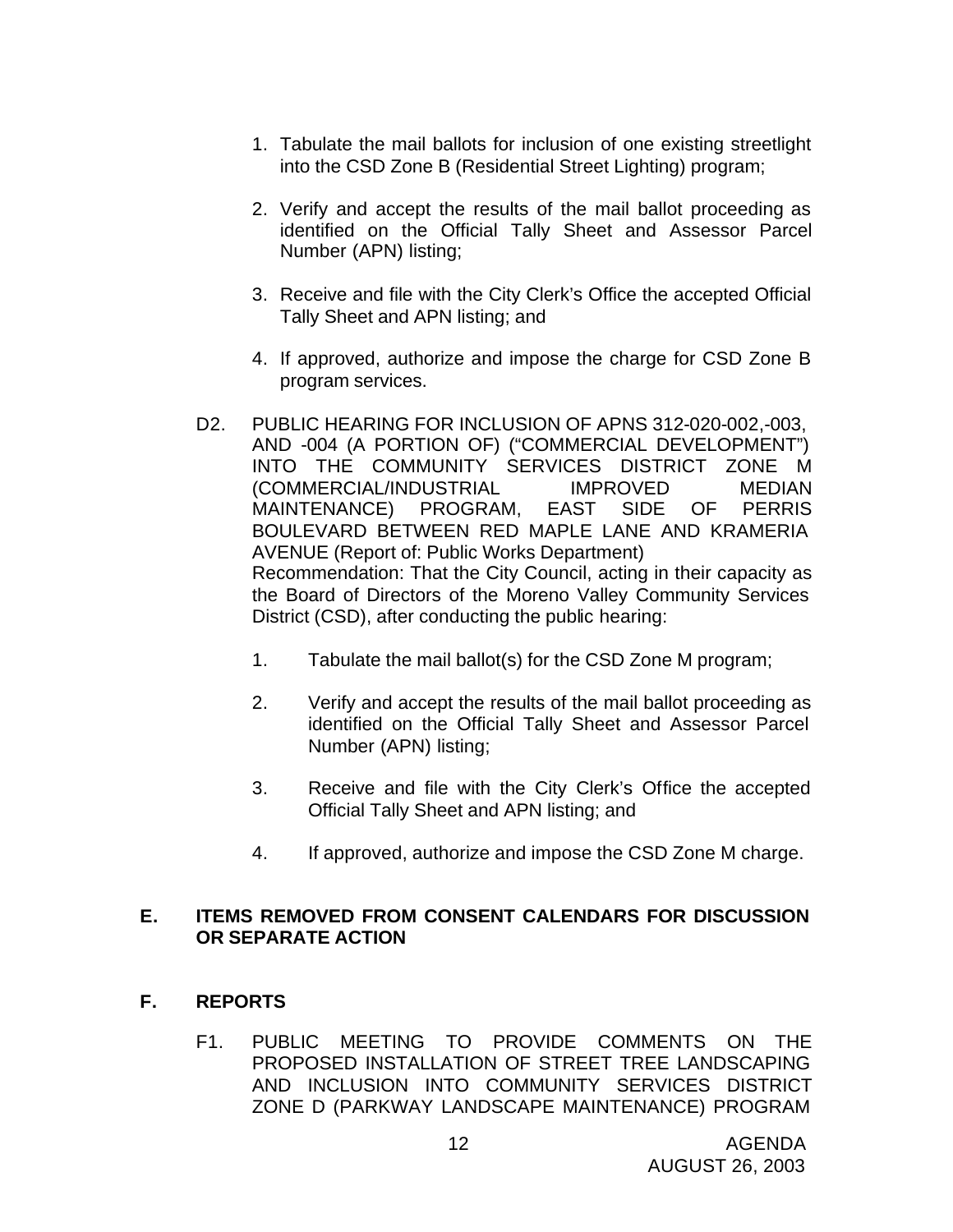- 1. Tabulate the mail ballots for inclusion of one existing streetlight into the CSD Zone B (Residential Street Lighting) program;
- 2. Verify and accept the results of the mail ballot proceeding as identified on the Official Tally Sheet and Assessor Parcel Number (APN) listing;
- 3. Receive and file with the City Clerk's Office the accepted Official Tally Sheet and APN listing; and
- 4. If approved, authorize and impose the charge for CSD Zone B program services.
- D2. PUBLIC HEARING FOR INCLUSION OF APNS 312-020-002,-003, AND -004 (A PORTION OF) ("COMMERCIAL DEVELOPMENT") INTO THE COMMUNITY SERVICES DISTRICT ZONE M (COMMERCIAL/INDUSTRIAL IMPROVED MEDIAN MAINTENANCE) PROGRAM, EAST SIDE OF PERRIS BOULEVARD BETWEEN RED MAPLE LANE AND KRAMERIA AVENUE (Report of: Public Works Department) Recommendation: That the City Council, acting in their capacity as the Board of Directors of the Moreno Valley Community Services District (CSD), after conducting the public hearing:
	- 1. Tabulate the mail ballot(s) for the CSD Zone M program;
	- 2. Verify and accept the results of the mail ballot proceeding as identified on the Official Tally Sheet and Assessor Parcel Number (APN) listing;
	- 3. Receive and file with the City Clerk's Office the accepted Official Tally Sheet and APN listing; and
	- 4. If approved, authorize and impose the CSD Zone M charge.

## **E. ITEMS REMOVED FROM CONSENT CALENDARS FOR DISCUSSION OR SEPARATE ACTION**

- **F. REPORTS**
	- F1. PUBLIC MEETING TO PROVIDE COMMENTS ON THE PROPOSED INSTALLATION OF STREET TREE LANDSCAPING AND INCLUSION INTO COMMUNITY SERVICES DISTRICT ZONE D (PARKWAY LANDSCAPE MAINTENANCE) PROGRAM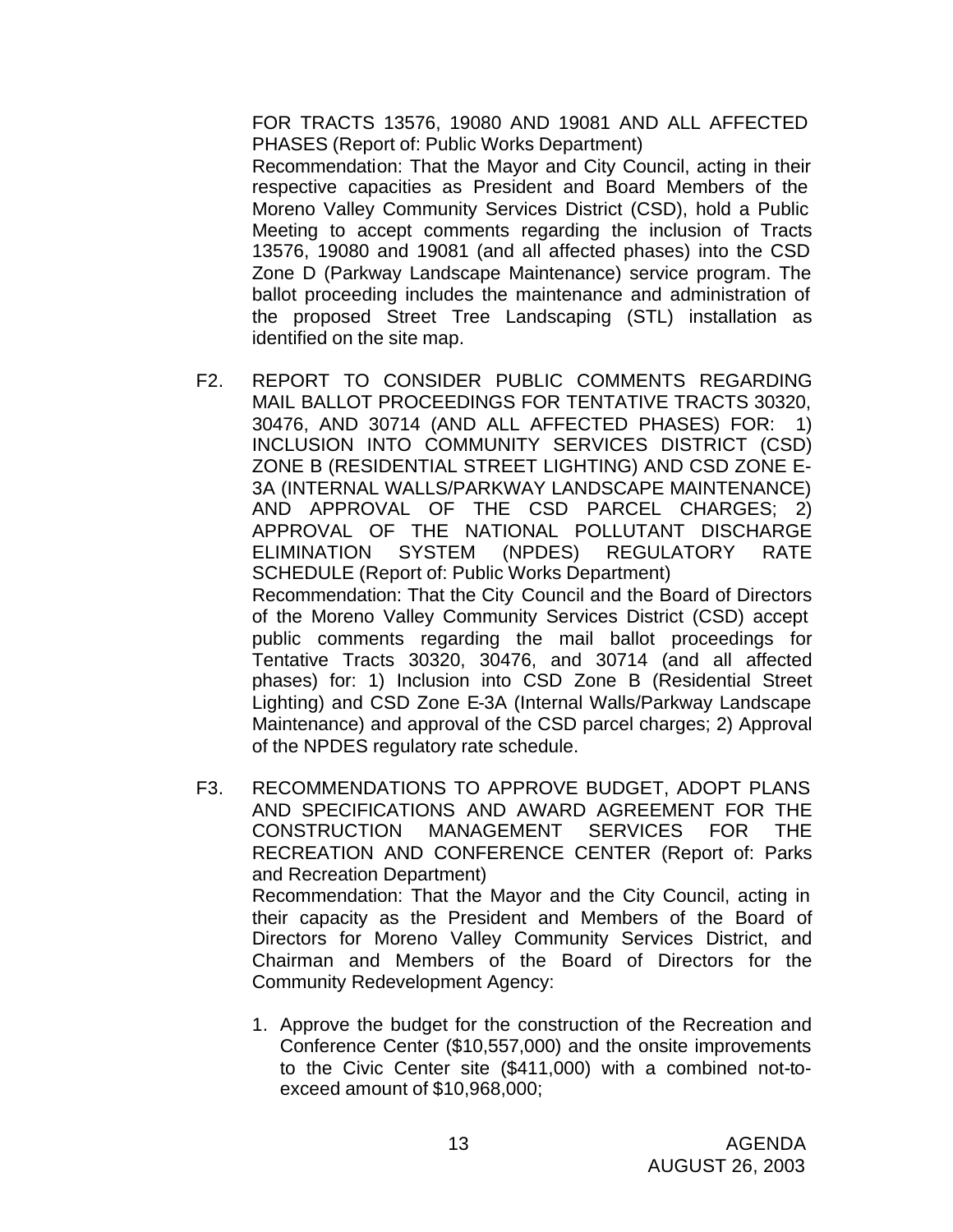FOR TRACTS 13576, 19080 AND 19081 AND ALL AFFECTED PHASES (Report of: Public Works Department)

Recommendation: That the Mayor and City Council, acting in their respective capacities as President and Board Members of the Moreno Valley Community Services District (CSD), hold a Public Meeting to accept comments regarding the inclusion of Tracts 13576, 19080 and 19081 (and all affected phases) into the CSD Zone D (Parkway Landscape Maintenance) service program. The ballot proceeding includes the maintenance and administration of the proposed Street Tree Landscaping (STL) installation as identified on the site map.

- F2. REPORT TO CONSIDER PUBLIC COMMENTS REGARDING MAIL BALLOT PROCEEDINGS FOR TENTATIVE TRACTS 30320, 30476, AND 30714 (AND ALL AFFECTED PHASES) FOR: 1) INCLUSION INTO COMMUNITY SERVICES DISTRICT (CSD) ZONE B (RESIDENTIAL STREET LIGHTING) AND CSD ZONE E-3A (INTERNAL WALLS/PARKWAY LANDSCAPE MAINTENANCE) AND APPROVAL OF THE CSD PARCEL CHARGES; 2) APPROVAL OF THE NATIONAL POLLUTANT DISCHARGE ELIMINATION SYSTEM (NPDES) REGULATORY RATE SCHEDULE (Report of: Public Works Department) Recommendation: That the City Council and the Board of Directors of the Moreno Valley Community Services District (CSD) accept public comments regarding the mail ballot proceedings for Tentative Tracts 30320, 30476, and 30714 (and all affected phases) for: 1) Inclusion into CSD Zone B (Residential Street Lighting) and CSD Zone E-3A (Internal Walls/Parkway Landscape Maintenance) and approval of the CSD parcel charges; 2) Approval of the NPDES regulatory rate schedule.
- F3. RECOMMENDATIONS TO APPROVE BUDGET, ADOPT PLANS AND SPECIFICATIONS AND AWARD AGREEMENT FOR THE CONSTRUCTION MANAGEMENT SERVICES FOR THE RECREATION AND CONFERENCE CENTER (Report of: Parks and Recreation Department) Recommendation: That the Mayor and the City Council, acting in their capacity as the President and Members of the Board of Directors for Moreno Valley Community Services District, and Chairman and Members of the Board of Directors for the Community Redevelopment Agency:
	- 1. Approve the budget for the construction of the Recreation and Conference Center (\$10,557,000) and the onsite improvements to the Civic Center site (\$411,000) with a combined not-toexceed amount of \$10,968,000;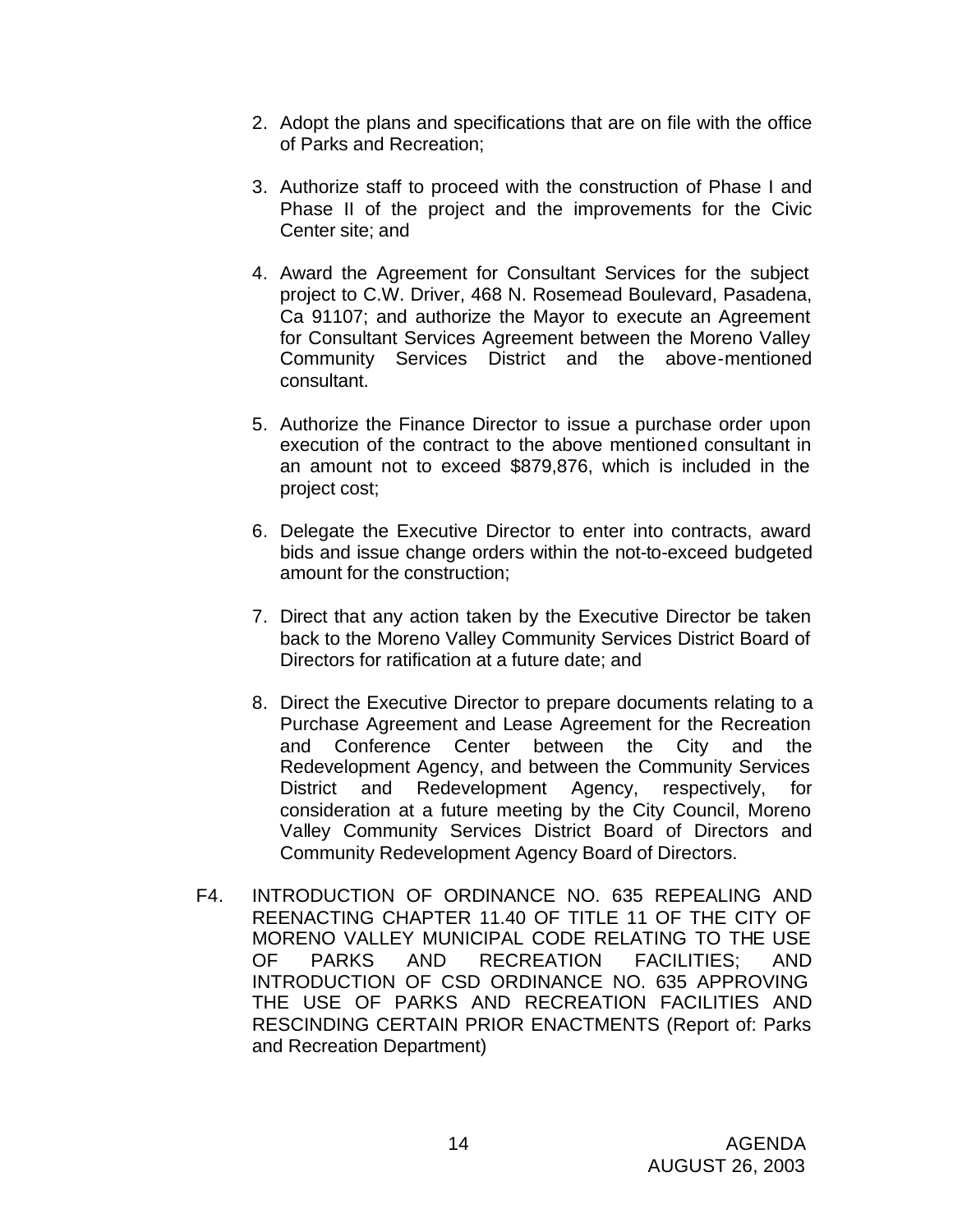- 2. Adopt the plans and specifications that are on file with the office of Parks and Recreation;
- 3. Authorize staff to proceed with the construction of Phase I and Phase II of the project and the improvements for the Civic Center site; and
- 4. Award the Agreement for Consultant Services for the subject project to C.W. Driver, 468 N. Rosemead Boulevard, Pasadena, Ca 91107; and authorize the Mayor to execute an Agreement for Consultant Services Agreement between the Moreno Valley Community Services District and the above-mentioned consultant.
- 5. Authorize the Finance Director to issue a purchase order upon execution of the contract to the above mentioned consultant in an amount not to exceed \$879,876, which is included in the project cost;
- 6. Delegate the Executive Director to enter into contracts, award bids and issue change orders within the not-to-exceed budgeted amount for the construction;
- 7. Direct that any action taken by the Executive Director be taken back to the Moreno Valley Community Services District Board of Directors for ratification at a future date; and
- 8. Direct the Executive Director to prepare documents relating to a Purchase Agreement and Lease Agreement for the Recreation and Conference Center between the City and the Redevelopment Agency, and between the Community Services District and Redevelopment Agency, respectively, for consideration at a future meeting by the City Council, Moreno Valley Community Services District Board of Directors and Community Redevelopment Agency Board of Directors.
- F4. INTRODUCTION OF ORDINANCE NO. 635 REPEALING AND REENACTING CHAPTER 11.40 OF TITLE 11 OF THE CITY OF MORENO VALLEY MUNICIPAL CODE RELATING TO THE USE OF PARKS AND RECREATION FACILITIES; AND INTRODUCTION OF CSD ORDINANCE NO. 635 APPROVING THE USE OF PARKS AND RECREATION FACILITIES AND RESCINDING CERTAIN PRIOR ENACTMENTS (Report of: Parks and Recreation Department)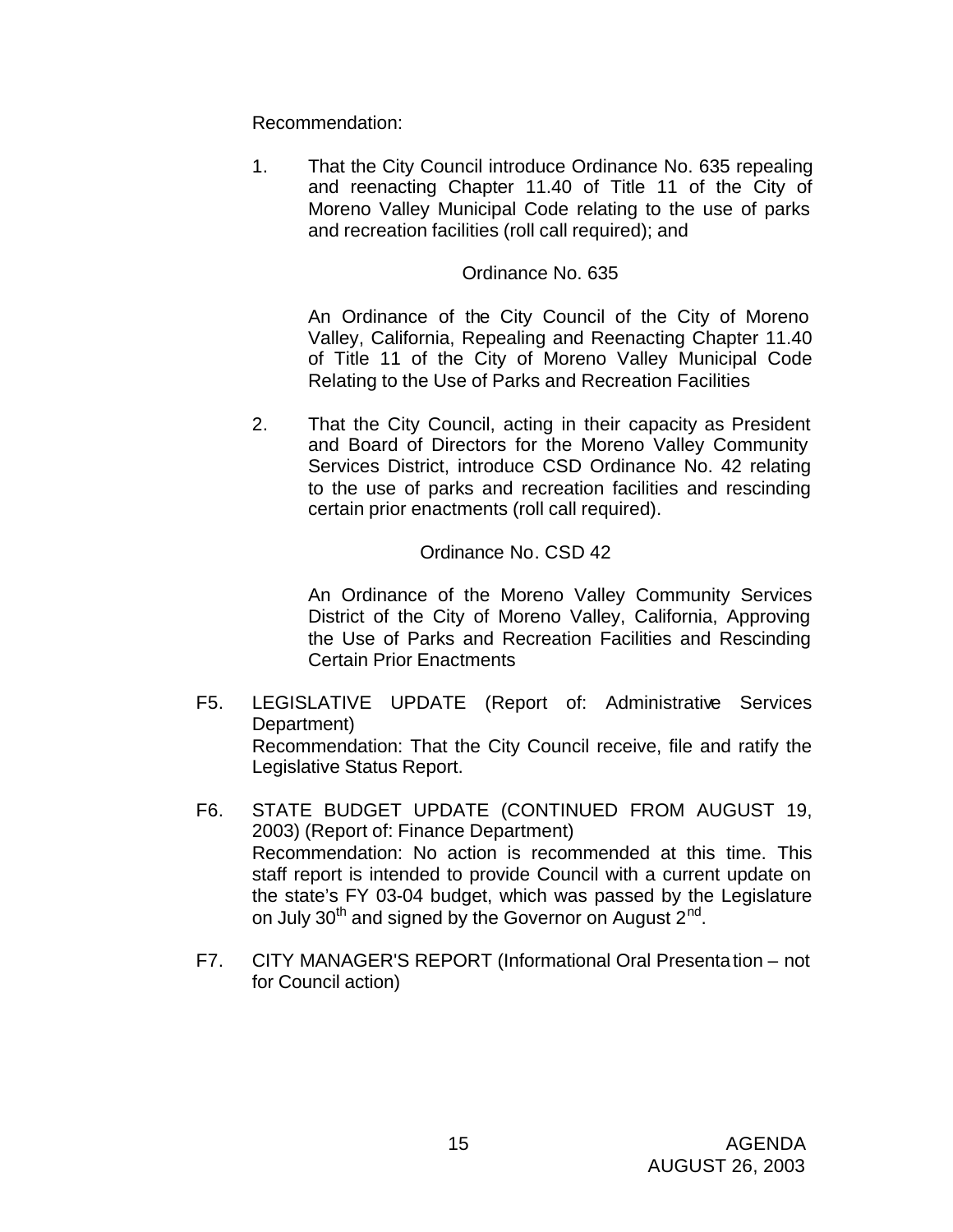Recommendation:

1. That the City Council introduce Ordinance No. 635 repealing and reenacting Chapter 11.40 of Title 11 of the City of Moreno Valley Municipal Code relating to the use of parks and recreation facilities (roll call required); and

### Ordinance No. 635

An Ordinance of the City Council of the City of Moreno Valley, California, Repealing and Reenacting Chapter 11.40 of Title 11 of the City of Moreno Valley Municipal Code Relating to the Use of Parks and Recreation Facilities

2. That the City Council, acting in their capacity as President and Board of Directors for the Moreno Valley Community Services District, introduce CSD Ordinance No. 42 relating to the use of parks and recreation facilities and rescinding certain prior enactments (roll call required).

#### Ordinance No. CSD 42

An Ordinance of the Moreno Valley Community Services District of the City of Moreno Valley, California, Approving the Use of Parks and Recreation Facilities and Rescinding Certain Prior Enactments

- F5. LEGISLATIVE UPDATE (Report of: Administrative Services Department) Recommendation: That the City Council receive, file and ratify the Legislative Status Report.
- F6. STATE BUDGET UPDATE (CONTINUED FROM AUGUST 19, 2003) (Report of: Finance Department) Recommendation: No action is recommended at this time. This staff report is intended to provide Council with a current update on the state's FY 03-04 budget, which was passed by the Legislature on July 30<sup>th</sup> and signed by the Governor on August 2<sup>nd</sup>.
- F7. CITY MANAGER'S REPORT (Informational Oral Presentation not for Council action)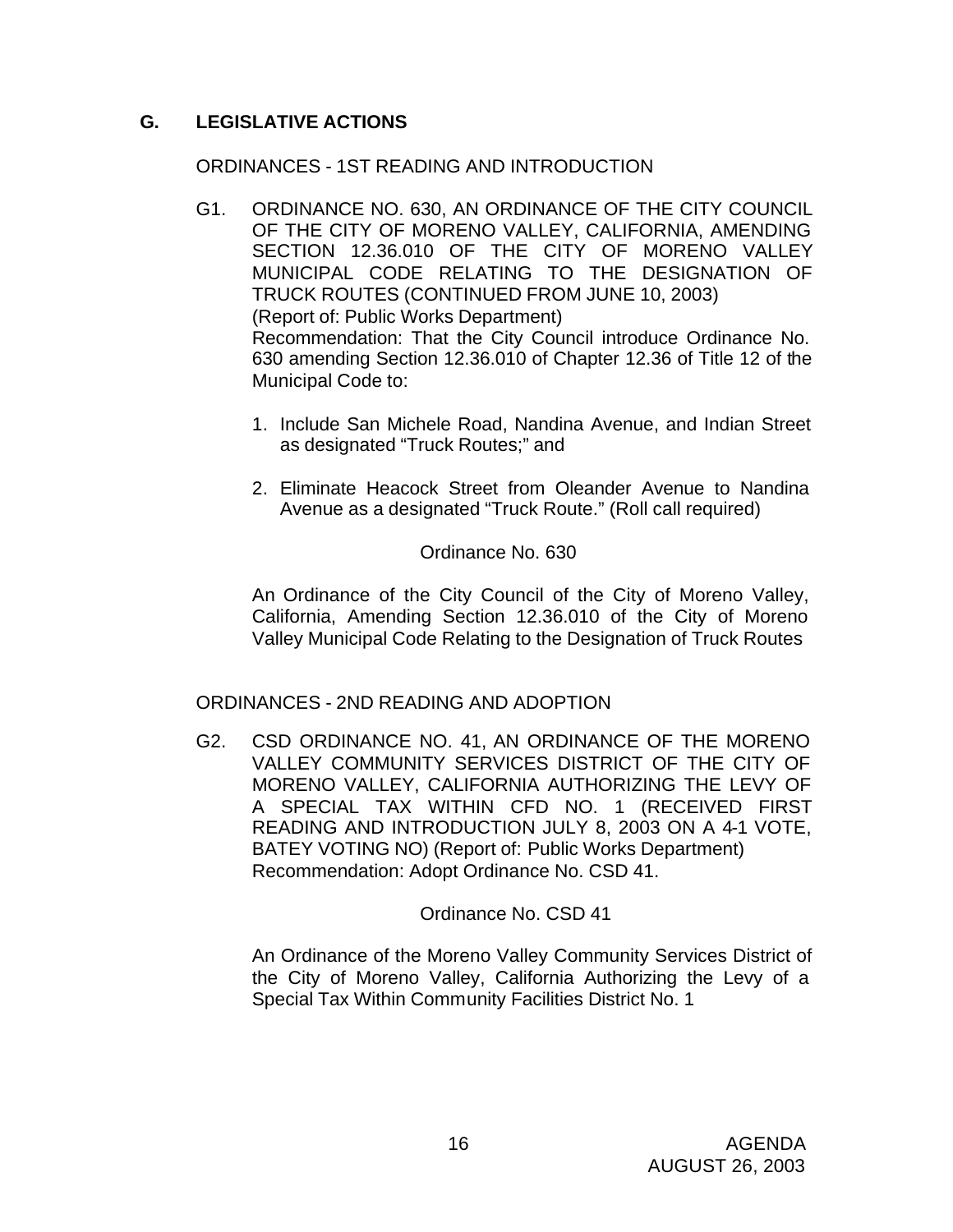## **G. LEGISLATIVE ACTIONS**

### ORDINANCES - 1ST READING AND INTRODUCTION

- G1. ORDINANCE NO. 630, AN ORDINANCE OF THE CITY COUNCIL OF THE CITY OF MORENO VALLEY, CALIFORNIA, AMENDING SECTION 12.36.010 OF THE CITY OF MORENO VALLEY MUNICIPAL CODE RELATING TO THE DESIGNATION OF TRUCK ROUTES (CONTINUED FROM JUNE 10, 2003) (Report of: Public Works Department) Recommendation: That the City Council introduce Ordinance No. 630 amending Section 12.36.010 of Chapter 12.36 of Title 12 of the Municipal Code to:
	- 1. Include San Michele Road, Nandina Avenue, and Indian Street as designated "Truck Routes;" and
	- 2. Eliminate Heacock Street from Oleander Avenue to Nandina Avenue as a designated "Truck Route." (Roll call required)

Ordinance No. 630

An Ordinance of the City Council of the City of Moreno Valley, California, Amending Section 12.36.010 of the City of Moreno Valley Municipal Code Relating to the Designation of Truck Routes

### ORDINANCES - 2ND READING AND ADOPTION

G2. CSD ORDINANCE NO. 41, AN ORDINANCE OF THE MORENO VALLEY COMMUNITY SERVICES DISTRICT OF THE CITY OF MORENO VALLEY, CALIFORNIA AUTHORIZING THE LEVY OF A SPECIAL TAX WITHIN CFD NO. 1 (RECEIVED FIRST READING AND INTRODUCTION JULY 8, 2003 ON A 4-1 VOTE, BATEY VOTING NO) (Report of: Public Works Department) Recommendation: Adopt Ordinance No. CSD 41.

### Ordinance No. CSD 41

An Ordinance of the Moreno Valley Community Services District of the City of Moreno Valley, California Authorizing the Levy of a Special Tax Within Community Facilities District No. 1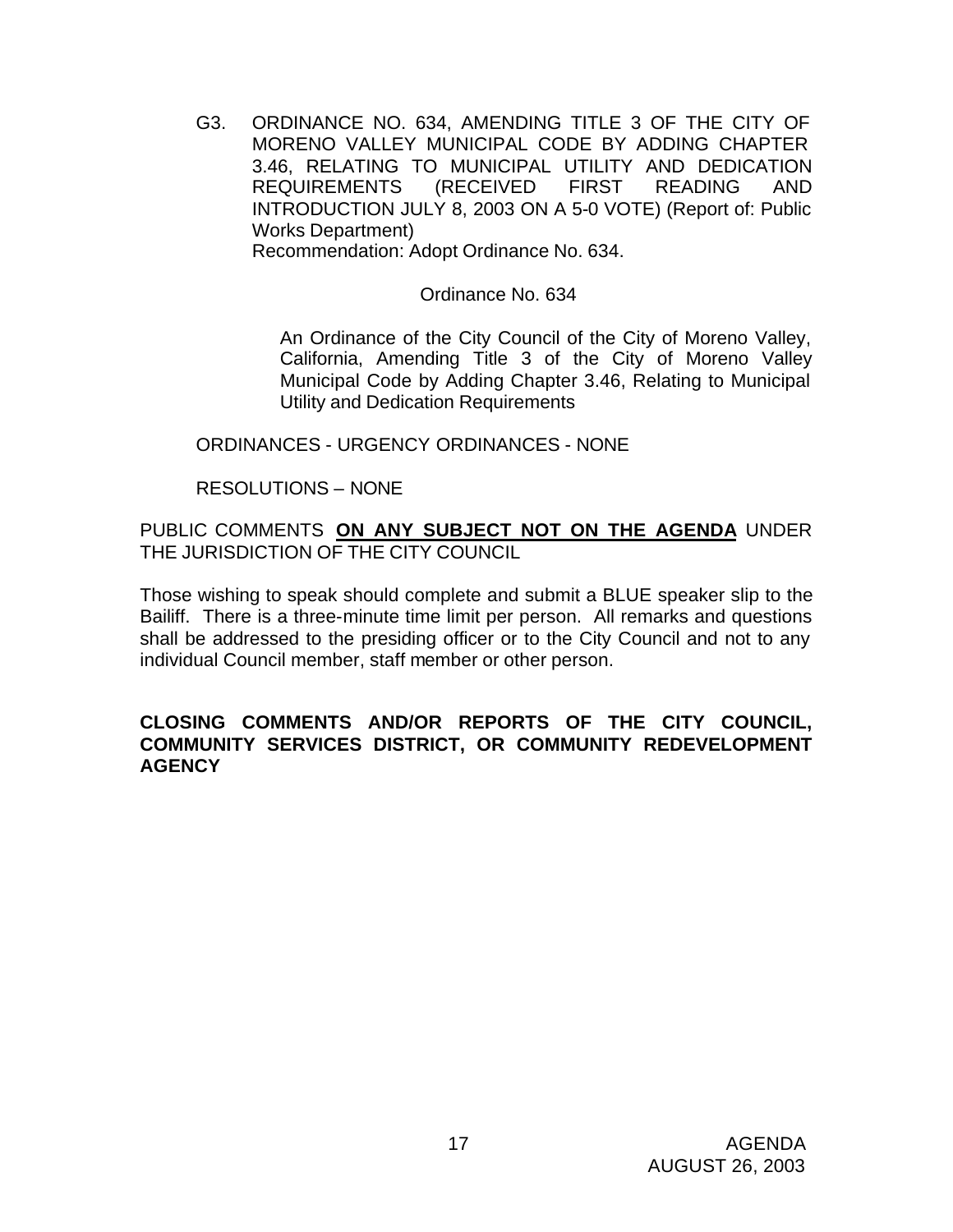G3. ORDINANCE NO. 634, AMENDING TITLE 3 OF THE CITY OF MORENO VALLEY MUNICIPAL CODE BY ADDING CHAPTER 3.46, RELATING TO MUNICIPAL UTILITY AND DEDICATION REQUIREMENTS (RECEIVED FIRST READING AND INTRODUCTION JULY 8, 2003 ON A 5-0 VOTE) (Report of: Public Works Department) Recommendation: Adopt Ordinance No. 634.

Ordinance No. 634

An Ordinance of the City Council of the City of Moreno Valley, California, Amending Title 3 of the City of Moreno Valley Municipal Code by Adding Chapter 3.46, Relating to Municipal Utility and Dedication Requirements

ORDINANCES - URGENCY ORDINANCES - NONE

### RESOLUTIONS – NONE

PUBLIC COMMENTS **ON ANY SUBJECT NOT ON THE AGENDA** UNDER THE JURISDICTION OF THE CITY COUNCIL

Those wishing to speak should complete and submit a BLUE speaker slip to the Bailiff. There is a three-minute time limit per person. All remarks and questions shall be addressed to the presiding officer or to the City Council and not to any individual Council member, staff member or other person.

### **CLOSING COMMENTS AND/OR REPORTS OF THE CITY COUNCIL, COMMUNITY SERVICES DISTRICT, OR COMMUNITY REDEVELOPMENT AGENCY**